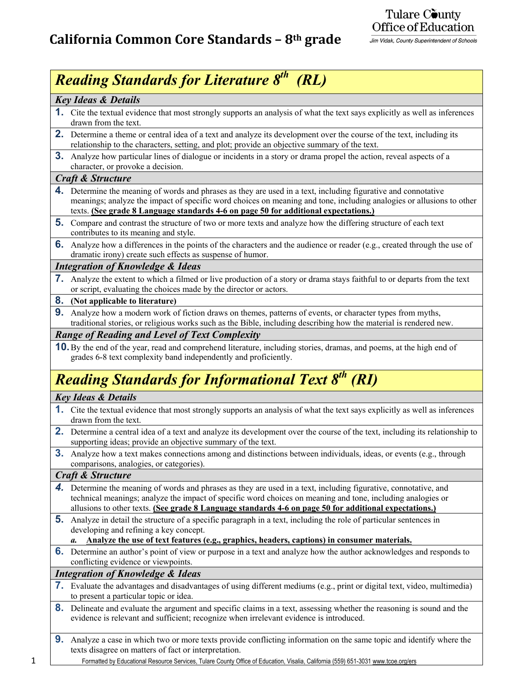## Tulare County Office of Education

Jim Vidak, County Superintendent of Schools

## *Reading Standards for Literature 8th (RL)*

### *Key Ideas & Details*

- **1.** Cite the textual evidence that most strongly supports an analysis of what the text says explicitly as well as inferences drawn from the text.
- **2.** Determine a theme or central idea of a text and analyze its development over the course of the text, including its relationship to the characters, setting, and plot; provide an objective summary of the text.
- **3.** Analyze how particular lines of dialogue or incidents in a story or drama propel the action, reveal aspects of a character, or provoke a decision.

#### *Craft & Structure*

- **4.** Determine the meaning of words and phrases as they are used in a text, including figurative and connotative meanings; analyze the impact of specific word choices on meaning and tone, including analogies or allusions to other texts. **(See grade 8 Language standards 4-6 on page 50 for additional expectations.)**
- **5.** Compare and contrast the structure of two or more texts and analyze how the differing structure of each text contributes to its meaning and style.
- **6.** Analyze how a differences in the points of the characters and the audience or reader (e.g., created through the use of dramatic irony) create such effects as suspense of humor.

## *Integration of Knowledge & Ideas*

**7.** Analyze the extent to which a filmed or live production of a story or drama stays faithful to or departs from the text or script, evaluating the choices made by the director or actors.

#### **8. (Not applicable to literature)**

**9.** Analyze how a modern work of fiction draws on themes, patterns of events, or character types from myths, traditional stories, or religious works such as the Bible, including describing how the material is rendered new.

## *Range of Reading and Level of Text Complexity*

**10.** By the end of the year, read and comprehend literature, including stories, dramas, and poems, at the high end of grades 6-8 text complexity band independently and proficiently.

# *Reading Standards for Informational Text 8th (RI)*

#### *Key Ideas & Details*

- **1.** Cite the textual evidence that most strongly supports an analysis of what the text says explicitly as well as inferences drawn from the text.
- **2.** Determine a central idea of a text and analyze its development over the course of the text, including its relationship to supporting ideas; provide an objective summary of the text.
- **3.** Analyze how a text makes connections among and distinctions between individuals, ideas, or events (e.g., through comparisons, analogies, or categories).

#### *Craft & Structure*

- *4.* Determine the meaning of words and phrases as they are used in a text, including figurative, connotative, and technical meanings; analyze the impact of specific word choices on meaning and tone, including analogies or allusions to other texts. **(See grade 8 Language standards 4-6 on page 50 for additional expectations.)**
- **5.** Analyze in detail the structure of a specific paragraph in a text, including the role of particular sentences in developing and refining a key concept.

#### *a.* **Analyze the use of text features (e.g., graphics, headers, captions) in consumer materials.**

**6.** Determine an author's point of view or purpose in a text and analyze how the author acknowledges and responds to conflicting evidence or viewpoints.

### *Integration of Knowledge & Ideas*

- **7.** Evaluate the advantages and disadvantages of using different mediums (e.g., print or digital text, video, multimedia) to present a particular topic or idea.
- **8.** Delineate and evaluate the argument and specific claims in a text, assessing whether the reasoning is sound and the evidence is relevant and sufficient; recognize when irrelevant evidence is introduced.
- **9.** Analyze a case in which two or more texts provide conflicting information on the same topic and identify where the texts disagree on matters of fact or interpretation.
- 1 Formatted by Educational Resource Services, Tulare County Office of Education, Visalia, California (559) 651-3031 www.tcoe.org/ers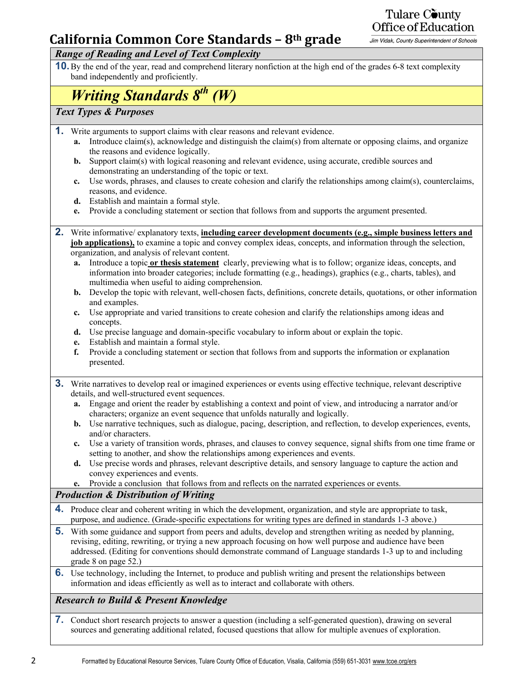## **California Common Core Standards – 8th grade**

Tulare County Office of Education

Jim Vidak, County Superintendent of Schools

## *Range of Reading and Level of Text Complexity*

**10.** By the end of the year, read and comprehend literary nonfiction at the high end of the grades 6-8 text complexity band independently and proficiently.

# *Writing Standards 8th (W)*

## *Text Types & Purposes*

- **1.** Write arguments to support claims with clear reasons and relevant evidence.
	- **a.** Introduce claim(s), acknowledge and distinguish the claim(s) from alternate or opposing claims, and organize the reasons and evidence logically.
	- **b.** Support claim(s) with logical reasoning and relevant evidence, using accurate, credible sources and demonstrating an understanding of the topic or text.
	- **c.** Use words, phrases, and clauses to create cohesion and clarify the relationships among claim(s), counterclaims, reasons, and evidence.
	- **d.** Establish and maintain a formal style.
	- **e.** Provide a concluding statement or section that follows from and supports the argument presented.
- **2.** Write informative/ explanatory texts, **including career development documents (e.g., simple business letters and job applications)**, to examine a topic and convey complex ideas, concepts, and information through the selection, organization, and analysis of relevant content.
	- **a.** Introduce a topic **or thesis statement** clearly, previewing what is to follow; organize ideas, concepts, and information into broader categories; include formatting (e.g., headings), graphics (e.g., charts, tables), and multimedia when useful to aiding comprehension.
	- **b.** Develop the topic with relevant, well-chosen facts, definitions, concrete details, quotations, or other information and examples.
	- **c.** Use appropriate and varied transitions to create cohesion and clarify the relationships among ideas and concepts.
	- **d.** Use precise language and domain-specific vocabulary to inform about or explain the topic.
	- **e.** Establish and maintain a formal style.
	- **f.** Provide a concluding statement or section that follows from and supports the information or explanation presented.
- **3.** Write narratives to develop real or imagined experiences or events using effective technique, relevant descriptive details, and well-structured event sequences.
	- **a.** Engage and orient the reader by establishing a context and point of view, and introducing a narrator and/or characters; organize an event sequence that unfolds naturally and logically.
	- **b.** Use narrative techniques, such as dialogue, pacing, description, and reflection, to develop experiences, events, and/or characters.
	- **c.** Use a variety of transition words, phrases, and clauses to convey sequence, signal shifts from one time frame or setting to another, and show the relationships among experiences and events.
	- **d.** Use precise words and phrases, relevant descriptive details, and sensory language to capture the action and convey experiences and events.
	- **e.** Provide a conclusion that follows from and reflects on the narrated experiences or events.

## *Production & Distribution of Writing*

- **4.** Produce clear and coherent writing in which the development, organization, and style are appropriate to task, purpose, and audience. (Grade-specific expectations for writing types are defined in standards 1-3 above.)
- **5.** With some guidance and support from peers and adults, develop and strengthen writing as needed by planning, revising, editing, rewriting, or trying a new approach focusing on how well purpose and audience have been addressed. (Editing for conventions should demonstrate command of Language standards 1-3 up to and including grade 8 on page 52.)
- **6.** Use technology, including the Internet, to produce and publish writing and present the relationships between information and ideas efficiently as well as to interact and collaborate with others.

## *Research to Build & Present Knowledge*

**7.** Conduct short research projects to answer a question (including a self-generated question), drawing on several sources and generating additional related, focused questions that allow for multiple avenues of exploration.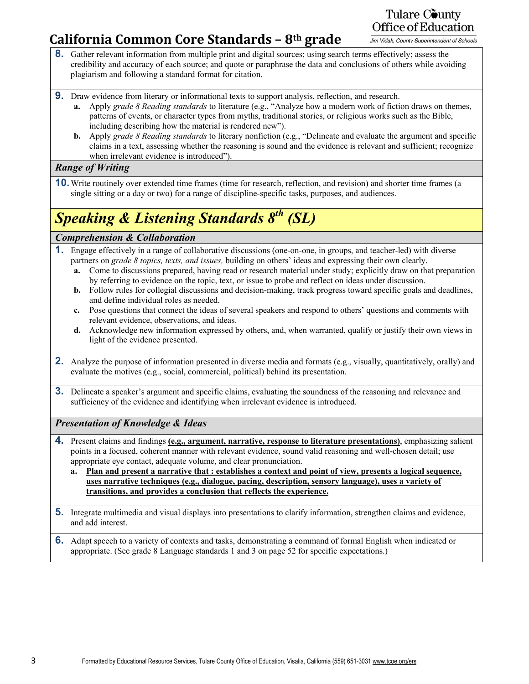## **California Common Core Standards – 8th grade**

Tulare County Office of Education

Jim Vidak, County Superintendent of Schools

- **8.** Gather relevant information from multiple print and digital sources; using search terms effectively; assess the credibility and accuracy of each source; and quote or paraphrase the data and conclusions of others while avoiding plagiarism and following a standard format for citation.
- **9.** Draw evidence from literary or informational texts to support analysis, reflection, and research.
	- **a.** Apply *grade 8 Reading standards* to literature (e.g., "Analyze how a modern work of fiction draws on themes, patterns of events, or character types from myths, traditional stories, or religious works such as the Bible, including describing how the material is rendered new").
	- **b.** Apply *grade 8 Reading standards* to literary nonfiction (e.g., "Delineate and evaluate the argument and specific claims in a text, assessing whether the reasoning is sound and the evidence is relevant and sufficient; recognize when irrelevant evidence is introduced").

## *Range of Writing*

**10.** Write routinely over extended time frames (time for research, reflection, and revision) and shorter time frames (a single sitting or a day or two) for a range of discipline-specific tasks, purposes, and audiences.

# *Speaking & Listening Standards 8th (SL)*

## *Comprehension & Collaboration*

- **1.** Engage effectively in a range of collaborative discussions (one-on-one, in groups, and teacher-led) with diverse partners on *grade 8 topics, texts, and issues,* building on others' ideas and expressing their own clearly.
	- **a.** Come to discussions prepared, having read or research material under study; explicitly draw on that preparation by referring to evidence on the topic, text, or issue to probe and reflect on ideas under discussion.
	- **b.** Follow rules for collegial discussions and decision-making, track progress toward specific goals and deadlines, and define individual roles as needed.
	- **c.** Pose questions that connect the ideas of several speakers and respond to others' questions and comments with relevant evidence, observations, and ideas.
	- **d.** Acknowledge new information expressed by others, and, when warranted, qualify or justify their own views in light of the evidence presented.
- **2.** Analyze the purpose of information presented in diverse media and formats (e.g., visually, quantitatively, orally) and evaluate the motives (e.g., social, commercial, political) behind its presentation.
- **3.** Delineate a speaker's argument and specific claims, evaluating the soundness of the reasoning and relevance and sufficiency of the evidence and identifying when irrelevant evidence is introduced.

## *Presentation of Knowledge & Ideas*

- **4.** Present claims and findings **(e.g., argument, narrative, response to literature presentations)**, emphasizing salient points in a focused, coherent manner with relevant evidence, sound valid reasoning and well-chosen detail; use appropriate eye contact, adequate volume, and clear pronunciation.
	- **a. Plan and present a narrative that : establishes a context and point of view, presents a logical sequence, uses narrative techniques (e.g., dialogue, pacing, description, sensory language), uses a variety of transitions, and provides a conclusion that reflects the experience.**
- **5.** Integrate multimedia and visual displays into presentations to clarify information, strengthen claims and evidence, and add interest.
- **6.** Adapt speech to a variety of contexts and tasks, demonstrating a command of formal English when indicated or appropriate. (See grade 8 Language standards 1 and 3 on page 52 for specific expectations.)